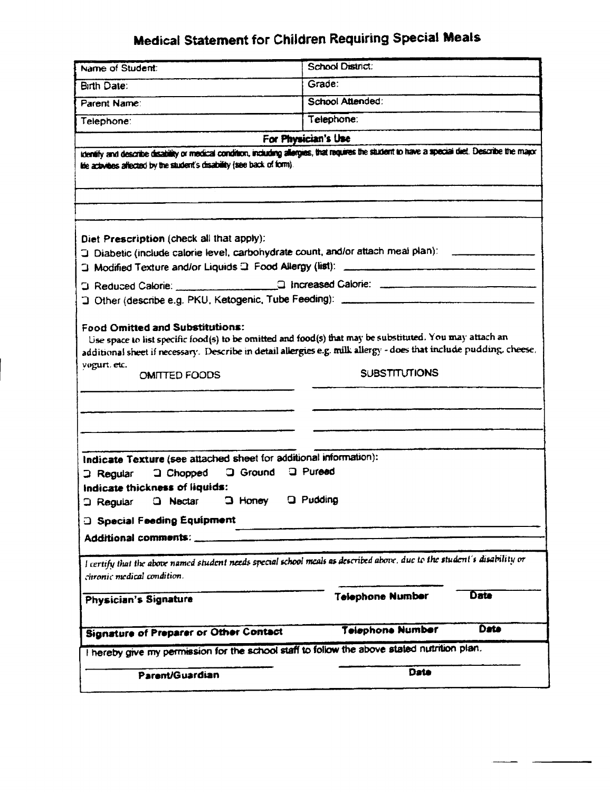## Medical Statement for Children Requiring Special Meals

| <b>Signature of Preparer or Other Contact</b><br>I hereby give my permission for the school staff to follow the above stated nutrition plan.           | <b>Telephone Number</b> | Date |
|--------------------------------------------------------------------------------------------------------------------------------------------------------|-------------------------|------|
|                                                                                                                                                        |                         |      |
|                                                                                                                                                        |                         |      |
| Physician's Signature                                                                                                                                  | <b>Telephone Number</b> | Date |
| I certify that the above named student needs special school meals as described above, due to the student's disability or<br>chronic medical condition. |                         |      |
| Additional comments:                                                                                                                                   |                         |      |
| <b>a</b> Special Feeding Equipment                                                                                                                     |                         |      |
| $\Box$ Honey<br><b>Q</b> Nectar<br><b>3 Regular</b>                                                                                                    | <b>Q</b> Pudding        |      |
| Indicate thickness of liquids:                                                                                                                         |                         |      |
| Indicate Texture (see attached sheet for additional information):<br>a Ground<br>$\Box$ Chopped<br>$\Box$ Regular                                      | <b>Q</b> Pureed         |      |
|                                                                                                                                                        |                         |      |
|                                                                                                                                                        |                         |      |
| additional sheet if necessary. Describe in detail allergies e.g. milk allergy - does that include pudding, cheese,<br>vogurt, etc.<br>OMITTED FOODS    | <b>SUBSTITUTIONS</b>    |      |
| Food Omitted and Substitutions:<br>Use space to list specific food(s) to be omitted and food(s) that may be substituted. You may attach an             |                         |      |
|                                                                                                                                                        |                         |      |
|                                                                                                                                                        |                         |      |
| J Diabetic (include calorie level, carbohydrate count, and/or attach meal plan): ______________                                                        |                         |      |
| Diet Prescription (check all that apply):                                                                                                              |                         |      |
|                                                                                                                                                        |                         |      |
| itie activities affected by the student's disability (see back of form).                                                                               |                         |      |
| identify and describe disability or medical condition, including allergies, that requires the student to have a special diet. Describe the major       | For Physician's Use     |      |
| Telephone:                                                                                                                                             | Telephone:              |      |
| Parent Name:                                                                                                                                           | School Attended:        |      |
| Birth Date:                                                                                                                                            | Grade:                  |      |